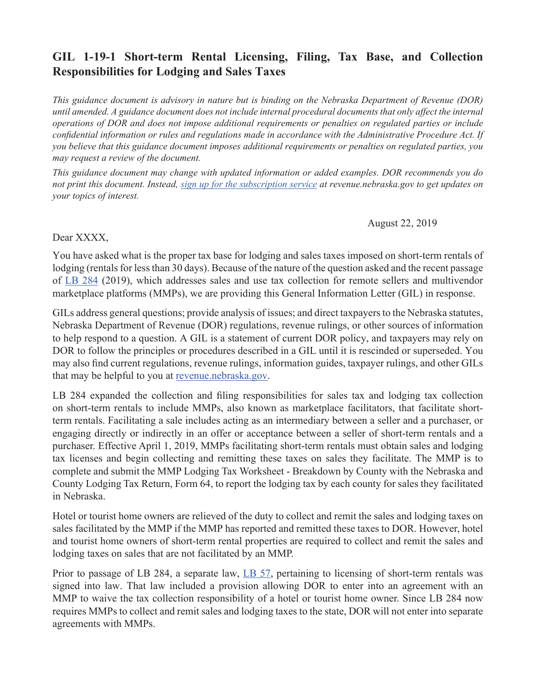## **GIL 1-19-1 Short-term Rental Licensing, Filing, Tax Base, and Collection Responsibilities for Lodging and Sales Taxes**

*This guidance document is advisory in nature but is binding on the Nebraska Department of Revenue (DOR) until amended. A guidance document does not include internal procedural documents that only affect the internal operations of DOR and does not impose additional requirements or penalties on regulated parties or include confidential information or rules and regulations made in accordance with the Administrative Procedure Act. If you believe that this guidance document imposes additional requirements or penalties on regulated parties, you may request a review of the document.* 

*This guidance document may change with updated information or added examples. DOR recommends you do not print this document. Instead, [sign up for the subscription service](https://public.govdelivery.com/accounts/NEREV/subscriber/new) at revenue.nebraska.gov to get updates on your topics of interest.* 

## August 22, 2019

## Dear XXXX,

You have asked what is the proper tax base for lodging and sales taxes imposed on short-term rentals of lodging (rentals for less than 30 days). Because of the nature of the question asked and the recent passage of [LB 284](http://www.revenue.nebraska.gov/info/legislation/2019/LB284.pdf) (2019), which addresses sales and use tax collection for remote sellers and multivendor marketplace platforms (MMPs), we are providing this General Information Letter (GIL) in response.

GILs address general questions; provide analysis of issues; and direct taxpayers to the Nebraska statutes, Nebraska Department of Revenue (DOR) regulations, revenue rulings, or other sources of information to help respond to a question. A GIL is a statement of current DOR policy, and taxpayers may rely on DOR to follow the principles or procedures described in a GIL until it is rescinded or superseded. You may also find current regulations, revenue rulings, information guides, taxpayer rulings, and other GILs that may be helpful to you at [revenue.nebraska.gov.](http://www.revenue.nebraska.gov/)

LB 284 expanded the collection and filing responsibilities for sales tax and lodging tax collection on short-term rentals to include MMPs, also known as marketplace facilitators, that facilitate shortterm rentals. Facilitating a sale includes acting as an intermediary between a seller and a purchaser, or engaging directly or indirectly in an offer or acceptance between a seller of short-term rentals and a purchaser. Effective April 1, 2019, MMPs facilitating short-term rentals must obtain sales and lodging tax licenses and begin collecting and remitting these taxes on sales they facilitate. The MMP is to complete and submit the MMP Lodging Tax Worksheet - Breakdown by County with the Nebraska and County Lodging Tax Return, Form 64, to report the lodging tax by each county for sales they facilitated in Nebraska.

Hotel or tourist home owners are relieved of the duty to collect and remit the sales and lodging taxes on sales facilitated by the MMP if the MMP has reported and remitted these taxes to DOR. However, hotel and tourist home owners of short-term rental properties are required to collect and remit the sales and lodging taxes on sales that are not facilitated by an MMP.

Prior to passage of LB 284, a separate law, [LB 57](https://nebraskalegislature.gov/FloorDocs/106/PDF/Slip/LB57.pdf), pertaining to licensing of short-term rentals was signed into law. That law included a provision allowing DOR to enter into an agreement with an MMP to waive the tax collection responsibility of a hotel or tourist home owner. Since LB 284 now requires MMPs to collect and remit sales and lodging taxes to the state, DOR will not enter into separate agreements with MMPs.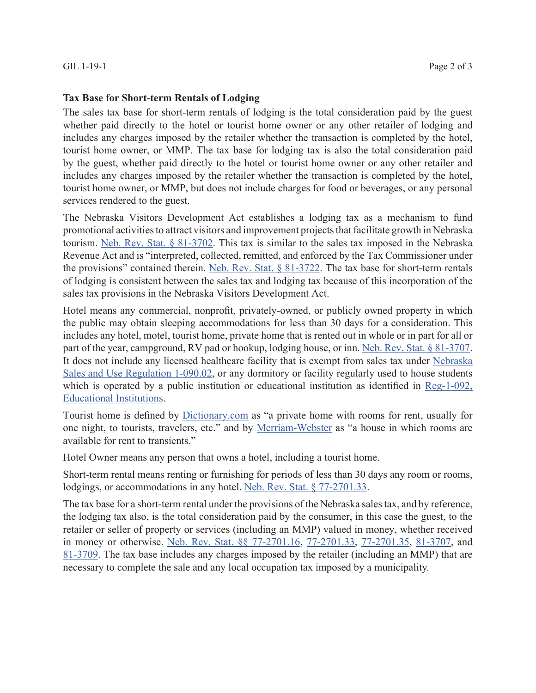## **Tax Base for Short-term Rentals of Lodging**

The sales tax base for short-term rentals of lodging is the total consideration paid by the guest whether paid directly to the hotel or tourist home owner or any other retailer of lodging and includes any charges imposed by the retailer whether the transaction is completed by the hotel, tourist home owner, or MMP. The tax base for lodging tax is also the total consideration paid by the guest, whether paid directly to the hotel or tourist home owner or any other retailer and includes any charges imposed by the retailer whether the transaction is completed by the hotel, tourist home owner, or MMP, but does not include charges for food or beverages, or any personal services rendered to the guest.

The Nebraska Visitors Development Act establishes a lodging tax as a mechanism to fund promotional activities to attract visitors and improvement projects that facilitate growth in Nebraska tourism. [Neb. Rev. Stat. § 81-3702](https://nebraskalegislature.gov/laws/statutes.php?statute=81-3702). This tax is similar to the sales tax imposed in the Nebraska Revenue Act and is "interpreted, collected, remitted, and enforced by the Tax Commissioner under the provisions" contained therein. [Neb. Rev. Stat. § 81-3722.](https://nebraskalegislature.gov/laws/statutes.php?statute=81-3722) The tax base for short-term rentals of lodging is consistent between the sales tax and lodging tax because of this incorporation of the sales tax provisions in the Nebraska Visitors Development Act.

Hotel means any commercial, nonprofit, privately-owned, or publicly owned property in which the public may obtain sleeping accommodations for less than 30 days for a consideration. This includes any hotel, motel, tourist home, private home that is rented out in whole or in part for all or part of the year, campground, RV pad or hookup, lodging house, or inn. [Neb. Rev. Stat.](https://nebraskalegislature.gov/laws/statutes.php?statute=81-3707) § 81-3707. It does not include any licensed healthcare facility that is exempt from sales tax under [Nebraska](http://www.revenue.nebraska.gov/legal/regs/slstaxregs.html#090) [Sales and Use Regulation 1-090.02](http://www.revenue.nebraska.gov/legal/regs/slstaxregs.html#090), or any dormitory or facility regularly used to house students which is operated by a public institution or educational institution as identified in [Reg-1-092,](http://www.revenue.nebraska.gov/legal/regs/slstaxregs.html#092) [Educational Institutions](http://www.revenue.nebraska.gov/legal/regs/slstaxregs.html#092).

Tourist home is defined by [Dictionary.com](https://www.dictionary.com/browse/tourist-home?&o=100074&s=t) as "a private home with rooms for rent, usually for one night, to tourists, travelers, etc." and by [Merriam-Webster](https://www.merriam-webster.com/dictionary/tourist%20home) as "a house in which rooms are available for rent to transients."

Hotel Owner means any person that owns a hotel, including a tourist home.

Short-term rental means renting or furnishing for periods of less than 30 days any room or rooms, lodgings, or accommodations in any hotel. [Neb. Rev. Stat. § 77-2701.33](https://nebraskalegislature.gov/laws/statutes.php?statute=77-2701.33).

The tax base for a short-term rental under the provisions of the Nebraska sales tax, and by reference, the lodging tax also, is the total consideration paid by the consumer, in this case the guest, to the retailer or seller of property or services (including an MMP) valued in money, whether received in money or otherwise. [Neb. Rev. Stat. §§ 77-2701.16](https://nebraskalegislature.gov/laws/statutes.php?statute=77-2701.16), [77-2701.33](https://nebraskalegislature.gov/laws/statutes.php?statute=77-2701.33), [77-2701.35,](https://nebraskalegislature.gov/laws/statutes.php?statute=77-2701.35) [81-3707](https://nebraskalegislature.gov/laws/statutes.php?statute=81-3707), and [81-3709.](https://nebraskalegislature.gov/laws/statutes.php?statute=81-3709) The tax base includes any charges imposed by the retailer (including an MMP) that are necessary to complete the sale and any local occupation tax imposed by a municipality.